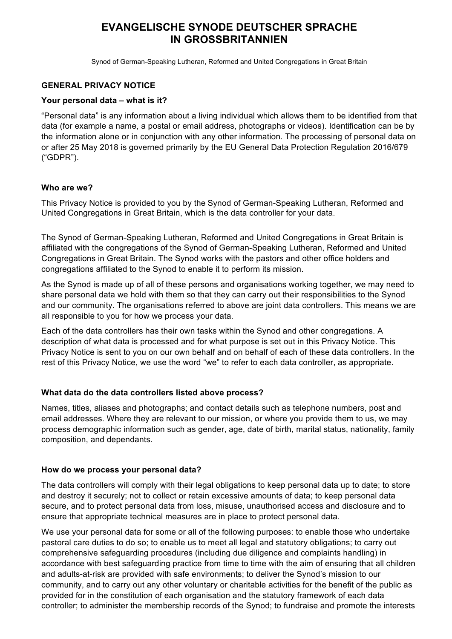# **EVANGELISCHE SYNODE DEUTSCHER SPRACHE IN GROSSBRITANNIEN**

Synod of German-Speaking Lutheran, Reformed and United Congregations in Great Britain

## **GENERAL PRIVACY NOTICE**

#### **Your personal data – what is it?**

"Personal data" is any information about a living individual which allows them to be identified from that data (for example a name, a postal or email address, photographs or videos). Identification can be by the information alone or in conjunction with any other information. The processing of personal data on or after 25 May 2018 is governed primarily by the EU General Data Protection Regulation 2016/679 ("GDPR").

#### **Who are we?**

This Privacy Notice is provided to you by the Synod of German-Speaking Lutheran, Reformed and United Congregations in Great Britain, which is the data controller for your data.

The Synod of German-Speaking Lutheran, Reformed and United Congregations in Great Britain is affiliated with the congregations of the Synod of German-Speaking Lutheran, Reformed and United Congregations in Great Britain. The Synod works with the pastors and other office holders and congregations affiliated to the Synod to enable it to perform its mission.

As the Synod is made up of all of these persons and organisations working together, we may need to share personal data we hold with them so that they can carry out their responsibilities to the Synod and our community. The organisations referred to above are joint data controllers. This means we are all responsible to you for how we process your data.

Each of the data controllers has their own tasks within the Synod and other congregations. A description of what data is processed and for what purpose is set out in this Privacy Notice. This Privacy Notice is sent to you on our own behalf and on behalf of each of these data controllers. In the rest of this Privacy Notice, we use the word "we" to refer to each data controller, as appropriate.

# **What data do the data controllers listed above process?**

Names, titles, aliases and photographs; and contact details such as telephone numbers, post and email addresses. Where they are relevant to our mission, or where you provide them to us, we may process demographic information such as gender, age, date of birth, marital status, nationality, family composition, and dependants.

#### **How do we process your personal data?**

The data controllers will comply with their legal obligations to keep personal data up to date; to store and destroy it securely; not to collect or retain excessive amounts of data; to keep personal data secure, and to protect personal data from loss, misuse, unauthorised access and disclosure and to ensure that appropriate technical measures are in place to protect personal data.

We use your personal data for some or all of the following purposes: to enable those who undertake pastoral care duties to do so; to enable us to meet all legal and statutory obligations; to carry out comprehensive safeguarding procedures (including due diligence and complaints handling) in accordance with best safeguarding practice from time to time with the aim of ensuring that all children and adults-at-risk are provided with safe environments; to deliver the Synod's mission to our community, and to carry out any other voluntary or charitable activities for the benefit of the public as provided for in the constitution of each organisation and the statutory framework of each data controller; to administer the membership records of the Synod; to fundraise and promote the interests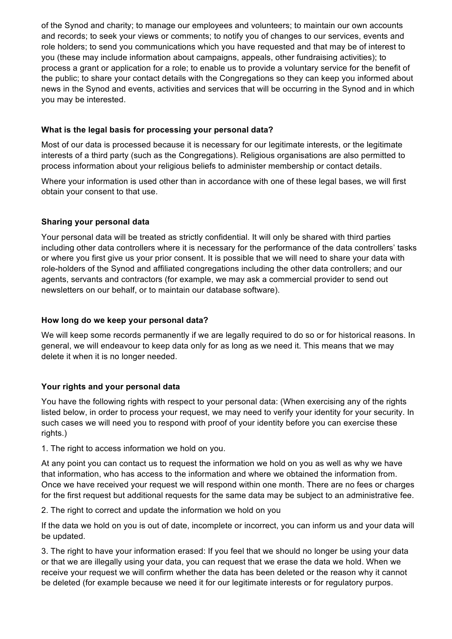of the Synod and charity; to manage our employees and volunteers; to maintain our own accounts and records; to seek your views or comments; to notify you of changes to our services, events and role holders; to send you communications which you have requested and that may be of interest to you (these may include information about campaigns, appeals, other fundraising activities); to process a grant or application for a role; to enable us to provide a voluntary service for the benefit of the public; to share your contact details with the Congregations so they can keep you informed about news in the Synod and events, activities and services that will be occurring in the Synod and in which you may be interested.

# **What is the legal basis for processing your personal data?**

Most of our data is processed because it is necessary for our legitimate interests, or the legitimate interests of a third party (such as the Congregations). Religious organisations are also permitted to process information about your religious beliefs to administer membership or contact details.

Where your information is used other than in accordance with one of these legal bases, we will first obtain your consent to that use.

## **Sharing your personal data**

Your personal data will be treated as strictly confidential. It will only be shared with third parties including other data controllers where it is necessary for the performance of the data controllers' tasks or where you first give us your prior consent. It is possible that we will need to share your data with role-holders of the Synod and affiliated congregations including the other data controllers; and our agents, servants and contractors (for example, we may ask a commercial provider to send out newsletters on our behalf, or to maintain our database software).

#### **How long do we keep your personal data?**

We will keep some records permanently if we are legally required to do so or for historical reasons. In general, we will endeavour to keep data only for as long as we need it. This means that we may delete it when it is no longer needed.

# **Your rights and your personal data**

You have the following rights with respect to your personal data: (When exercising any of the rights listed below, in order to process your request, we may need to verify your identity for your security. In such cases we will need you to respond with proof of your identity before you can exercise these rights.)

1. The right to access information we hold on you.

At any point you can contact us to request the information we hold on you as well as why we have that information, who has access to the information and where we obtained the information from. Once we have received your request we will respond within one month. There are no fees or charges for the first request but additional requests for the same data may be subject to an administrative fee.

2. The right to correct and update the information we hold on you

If the data we hold on you is out of date, incomplete or incorrect, you can inform us and your data will be updated.

3. The right to have your information erased: If you feel that we should no longer be using your data or that we are illegally using your data, you can request that we erase the data we hold. When we receive your request we will confirm whether the data has been deleted or the reason why it cannot be deleted (for example because we need it for our legitimate interests or for regulatory purpos.